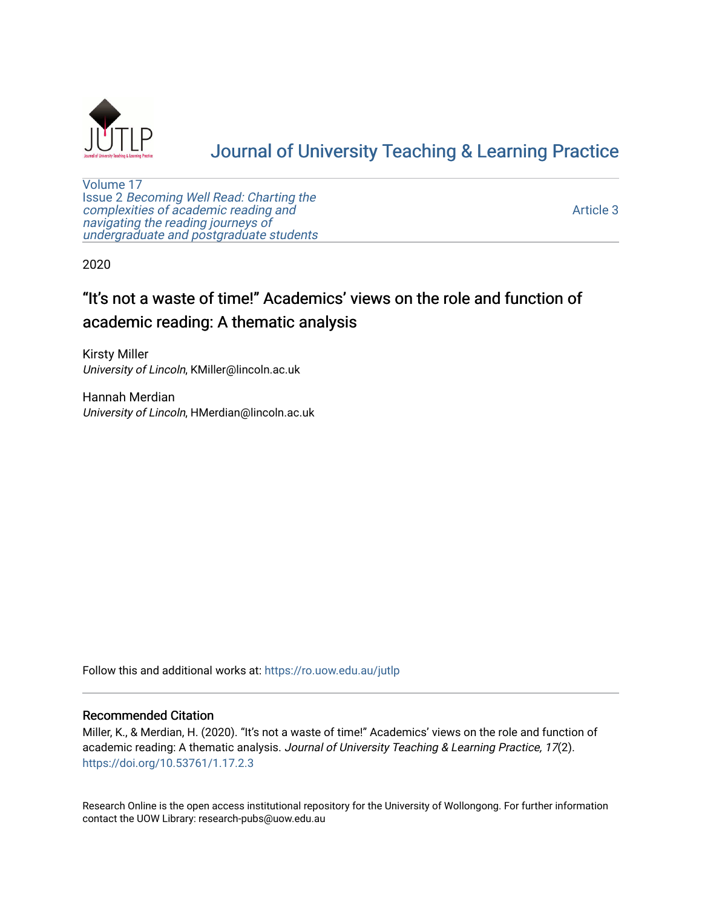

# [Journal of University Teaching & Learning Practice](https://ro.uow.edu.au/jutlp)

[Volume 17](https://ro.uow.edu.au/jutlp/vol17) Issue 2 [Becoming Well Read: Charting the](https://ro.uow.edu.au/jutlp/vol17/iss2) [complexities of academic reading and](https://ro.uow.edu.au/jutlp/vol17/iss2)  [navigating the reading journeys of](https://ro.uow.edu.au/jutlp/vol17/iss2) [undergraduate and postgraduate students](https://ro.uow.edu.au/jutlp/vol17/iss2)

[Article 3](https://ro.uow.edu.au/jutlp/vol17/iss2/3) 

2020

## "It's not a waste of time!" Academics' views on the role and function of academic reading: A thematic analysis

Kirsty Miller University of Lincoln, KMiller@lincoln.ac.uk

Hannah Merdian University of Lincoln, HMerdian@lincoln.ac.uk

Follow this and additional works at: [https://ro.uow.edu.au/jutlp](https://ro.uow.edu.au/jutlp?utm_source=ro.uow.edu.au%2Fjutlp%2Fvol17%2Fiss2%2F3&utm_medium=PDF&utm_campaign=PDFCoverPages) 

### Recommended Citation

Miller, K., & Merdian, H. (2020). "It's not a waste of time!" Academics' views on the role and function of academic reading: A thematic analysis. Journal of University Teaching & Learning Practice, 17(2). <https://doi.org/10.53761/1.17.2.3>

Research Online is the open access institutional repository for the University of Wollongong. For further information contact the UOW Library: research-pubs@uow.edu.au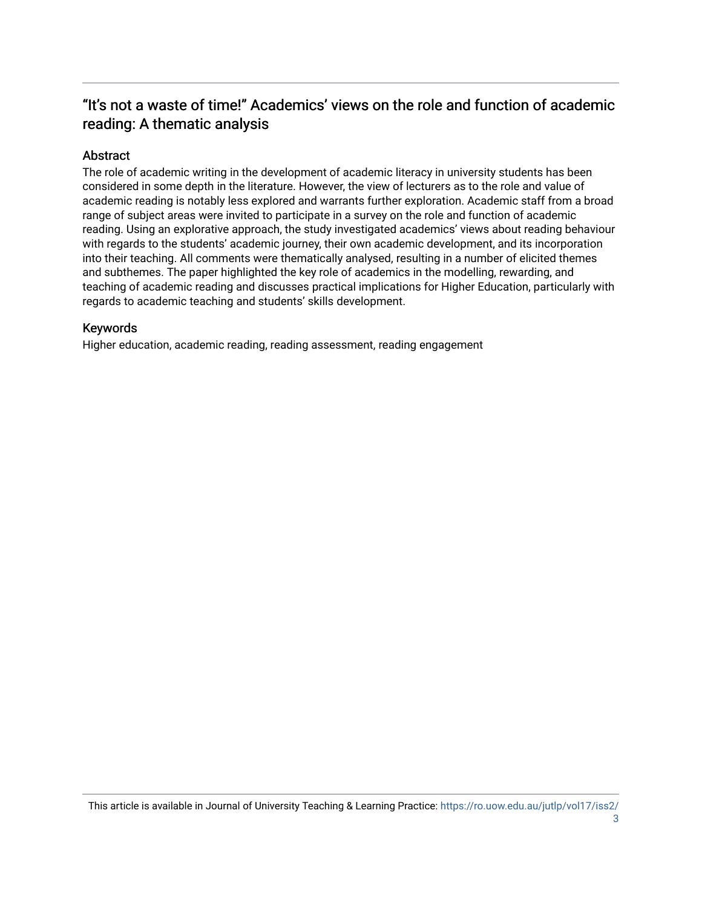## "It's not a waste of time!" Academics' views on the role and function of academic reading: A thematic analysis

## Abstract

The role of academic writing in the development of academic literacy in university students has been considered in some depth in the literature. However, the view of lecturers as to the role and value of academic reading is notably less explored and warrants further exploration. Academic staff from a broad range of subject areas were invited to participate in a survey on the role and function of academic reading. Using an explorative approach, the study investigated academics' views about reading behaviour with regards to the students' academic journey, their own academic development, and its incorporation into their teaching. All comments were thematically analysed, resulting in a number of elicited themes and subthemes. The paper highlighted the key role of academics in the modelling, rewarding, and teaching of academic reading and discusses practical implications for Higher Education, particularly with regards to academic teaching and students' skills development.

## Keywords

Higher education, academic reading, reading assessment, reading engagement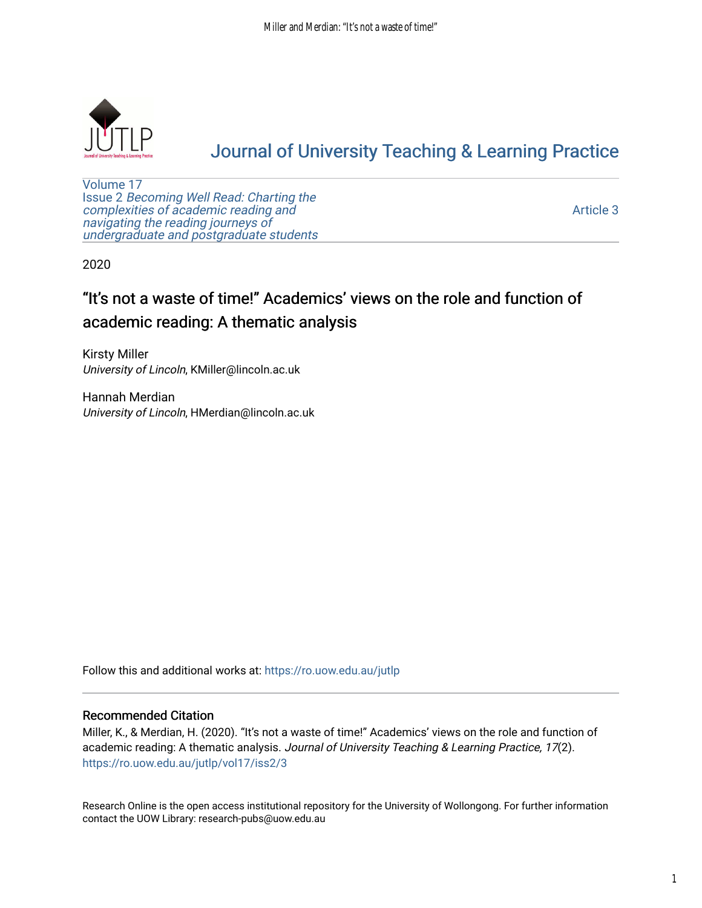

# [Journal of University Teaching & Learning Practice](https://ro.uow.edu.au/jutlp)

[Volume 17](https://ro.uow.edu.au/jutlp/vol17) Issue 2 [Becoming Well Read: Charting the](https://ro.uow.edu.au/jutlp/vol17/iss2) [complexities of academic reading and](https://ro.uow.edu.au/jutlp/vol17/iss2)  [navigating the reading journeys of](https://ro.uow.edu.au/jutlp/vol17/iss2) [undergraduate and postgraduate students](https://ro.uow.edu.au/jutlp/vol17/iss2)

[Article 3](https://ro.uow.edu.au/jutlp/vol17/iss2/3) 

2020

## "It's not a waste of time!" Academics' views on the role and function of academic reading: A thematic analysis

Kirsty Miller University of Lincoln, KMiller@lincoln.ac.uk

Hannah Merdian University of Lincoln, HMerdian@lincoln.ac.uk

Follow this and additional works at: [https://ro.uow.edu.au/jutlp](https://ro.uow.edu.au/jutlp?utm_source=ro.uow.edu.au%2Fjutlp%2Fvol17%2Fiss2%2F3&utm_medium=PDF&utm_campaign=PDFCoverPages) 

## Recommended Citation

Miller, K., & Merdian, H. (2020). "It's not a waste of time!" Academics' views on the role and function of academic reading: A thematic analysis. Journal of University Teaching & Learning Practice, 17(2). [https://ro.uow.edu.au/jutlp/vol17/iss2/3](https://ro.uow.edu.au/jutlp/vol17/iss2/3?utm_source=ro.uow.edu.au%2Fjutlp%2Fvol17%2Fiss2%2F3&utm_medium=PDF&utm_campaign=PDFCoverPages) 

Research Online is the open access institutional repository for the University of Wollongong. For further information contact the UOW Library: research-pubs@uow.edu.au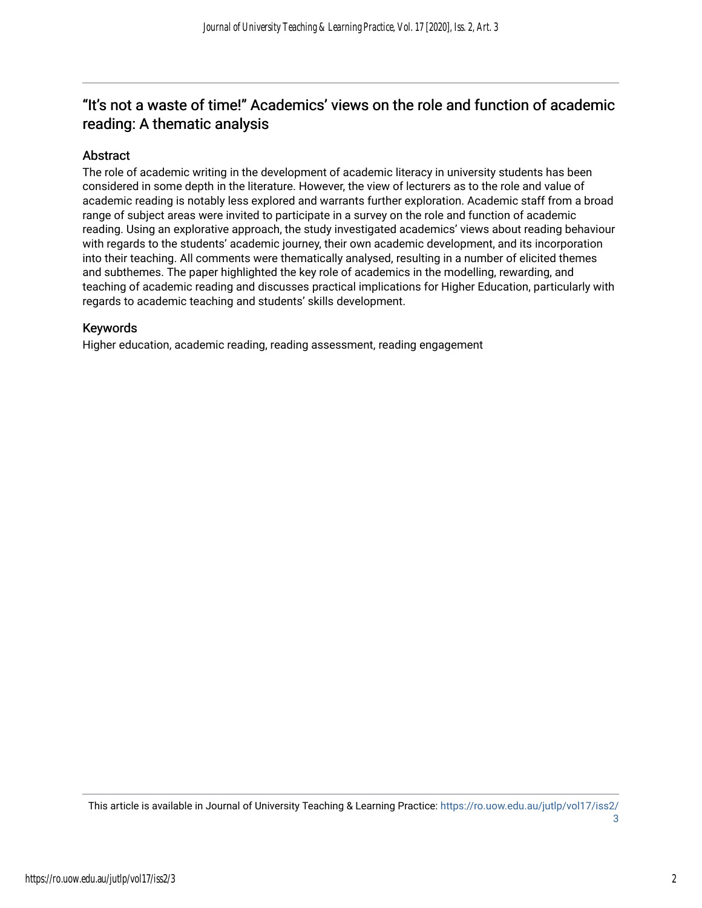## "It's not a waste of time!" Academics' views on the role and function of academic reading: A thematic analysis

## Abstract

The role of academic writing in the development of academic literacy in university students has been considered in some depth in the literature. However, the view of lecturers as to the role and value of academic reading is notably less explored and warrants further exploration. Academic staff from a broad range of subject areas were invited to participate in a survey on the role and function of academic reading. Using an explorative approach, the study investigated academics' views about reading behaviour with regards to the students' academic journey, their own academic development, and its incorporation into their teaching. All comments were thematically analysed, resulting in a number of elicited themes and subthemes. The paper highlighted the key role of academics in the modelling, rewarding, and teaching of academic reading and discusses practical implications for Higher Education, particularly with regards to academic teaching and students' skills development.

## Keywords

Higher education, academic reading, reading assessment, reading engagement

This article is available in Journal of University Teaching & Learning Practice: [https://ro.uow.edu.au/jutlp/vol17/iss2/](https://ro.uow.edu.au/jutlp/vol17/iss2/3) [3](https://ro.uow.edu.au/jutlp/vol17/iss2/3)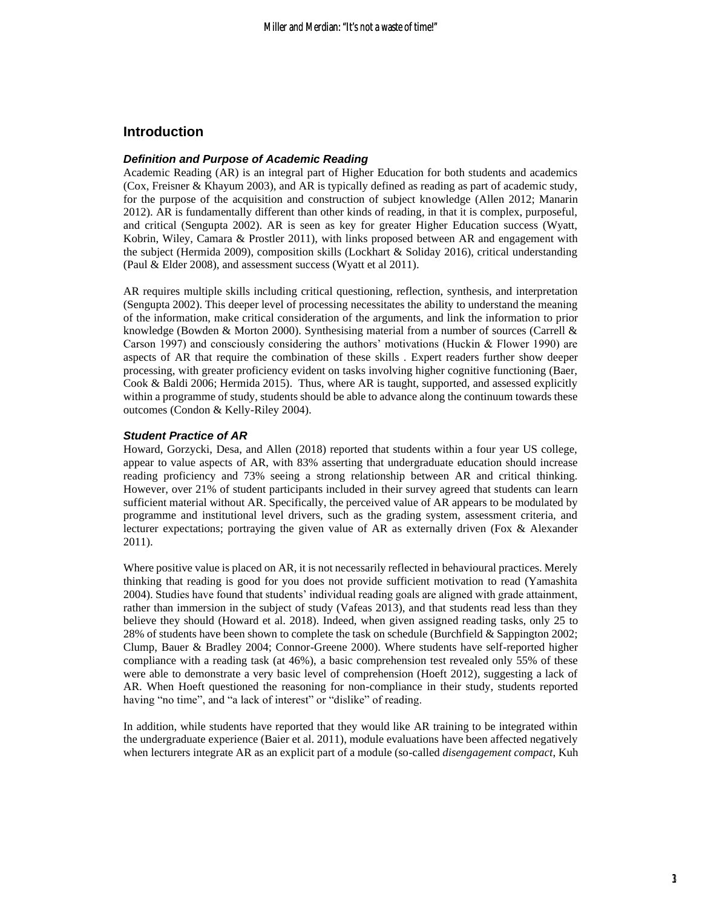## **Introduction**

#### *Definition and Purpose of Academic Reading*

Academic Reading (AR) is an integral part of Higher Education for both students and academics (Cox, Freisner & Khayum 2003), and AR is typically defined as reading as part of academic study, for the purpose of the acquisition and construction of subject knowledge (Allen 2012; Manarin 2012). AR is fundamentally different than other kinds of reading, in that it is complex, purposeful, and critical (Sengupta 2002). AR is seen as key for greater Higher Education success (Wyatt, Kobrin, Wiley, Camara & Prostler 2011), with links proposed between AR and engagement with the subject (Hermida 2009), composition skills (Lockhart & Soliday 2016), critical understanding (Paul & Elder 2008), and assessment success (Wyatt et al 2011).

AR requires multiple skills including critical questioning, reflection, synthesis, and interpretation (Sengupta 2002). This deeper level of processing necessitates the ability to understand the meaning of the information, make critical consideration of the arguments, and link the information to prior knowledge (Bowden & Morton 2000). Synthesising material from a number of sources (Carrell & Carson 1997) and consciously considering the authors' motivations (Huckin & Flower 1990) are aspects of AR that require the combination of these skills . Expert readers further show deeper processing, with greater proficiency evident on tasks involving higher cognitive functioning (Baer, Cook & Baldi 2006; Hermida 2015). Thus, where AR is taught, supported, and assessed explicitly within a programme of study, students should be able to advance along the continuum towards these outcomes (Condon & Kelly-Riley 2004).

#### *Student Practice of AR*

Howard, Gorzycki, Desa, and Allen (2018) reported that students within a four year US college, appear to value aspects of AR, with 83% asserting that undergraduate education should increase reading proficiency and 73% seeing a strong relationship between AR and critical thinking. However, over 21% of student participants included in their survey agreed that students can learn sufficient material without AR. Specifically, the perceived value of AR appears to be modulated by programme and institutional level drivers, such as the grading system, assessment criteria, and lecturer expectations; portraying the given value of AR as externally driven (Fox & Alexander 2011).

Where positive value is placed on AR, it is not necessarily reflected in behavioural practices. Merely thinking that reading is good for you does not provide sufficient motivation to read (Yamashita 2004). Studies have found that students' individual reading goals are aligned with grade attainment, rather than immersion in the subject of study (Vafeas 2013), and that students read less than they believe they should (Howard et al. 2018). Indeed, when given assigned reading tasks, only 25 to 28% of students have been shown to complete the task on schedule (Burchfield & Sappington 2002; Clump, Bauer & Bradley 2004; Connor-Greene 2000). Where students have self-reported higher compliance with a reading task (at 46%), a basic comprehension test revealed only 55% of these were able to demonstrate a very basic level of comprehension (Hoeft 2012), suggesting a lack of AR. When Hoeft questioned the reasoning for non-compliance in their study, students reported having "no time", and "a lack of interest" or "dislike" of reading.

In addition, while students have reported that they would like AR training to be integrated within the undergraduate experience (Baier et al. 2011), module evaluations have been affected negatively when lecturers integrate AR as an explicit part of a module (so-called *disengagement compact*, Kuh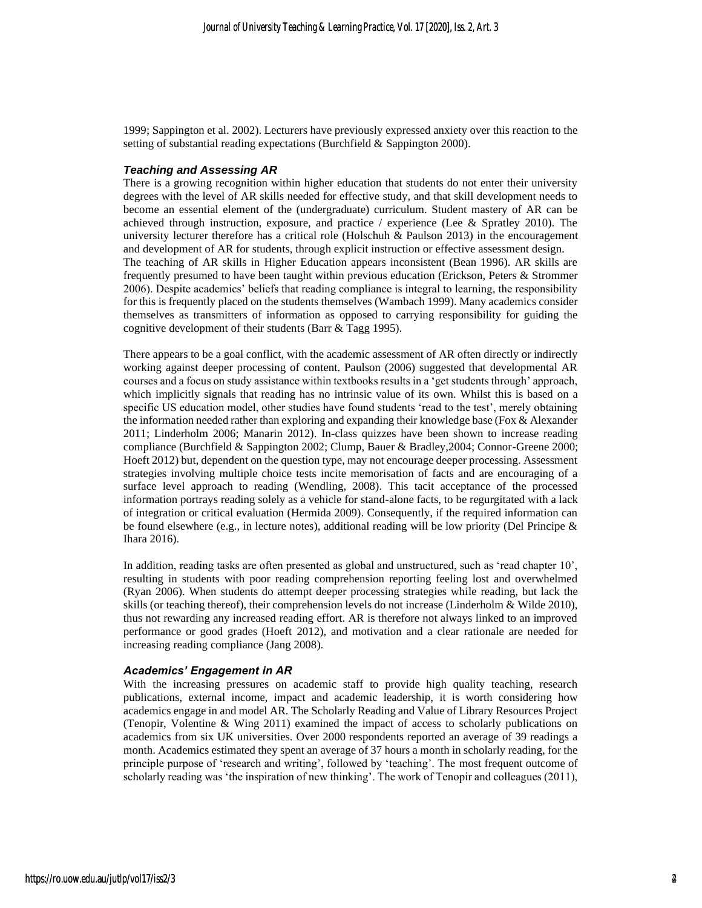1999; Sappington et al. 2002). Lecturers have previously expressed anxiety over this reaction to the setting of substantial reading expectations (Burchfield & Sappington 2000).

#### *Teaching and Assessing AR*

There is a growing recognition within higher education that students do not enter their university degrees with the level of AR skills needed for effective study, and that skill development needs to become an essential element of the (undergraduate) curriculum. Student mastery of AR can be achieved through instruction, exposure, and practice / experience (Lee & Spratley 2010). The university lecturer therefore has a critical role (Holschuh & Paulson 2013) in the encouragement and development of AR for students, through explicit instruction or effective assessment design. The teaching of AR skills in Higher Education appears inconsistent (Bean 1996). AR skills are frequently presumed to have been taught within previous education (Erickson, Peters & Strommer 2006). Despite academics' beliefs that reading compliance is integral to learning, the responsibility for this is frequently placed on the students themselves (Wambach 1999). Many academics consider themselves as transmitters of information as opposed to carrying responsibility for guiding the cognitive development of their students (Barr & Tagg 1995).

There appears to be a goal conflict, with the academic assessment of AR often directly or indirectly working against deeper processing of content. Paulson (2006) suggested that developmental AR courses and a focus on study assistance within textbooks results in a 'get students through' approach, which implicitly signals that reading has no intrinsic value of its own. Whilst this is based on a specific US education model, other studies have found students 'read to the test', merely obtaining the information needed rather than exploring and expanding their knowledge base (Fox & Alexander 2011; Linderholm 2006; Manarin 2012). In-class quizzes have been shown to increase reading compliance (Burchfield & Sappington 2002; Clump, Bauer & Bradley,2004; Connor-Greene 2000; Hoeft 2012) but, dependent on the question type, may not encourage deeper processing. Assessment strategies involving multiple choice tests incite memorisation of facts and are encouraging of a surface level approach to reading (Wendling, 2008). This tacit acceptance of the processed information portrays reading solely as a vehicle for stand-alone facts, to be regurgitated with a lack of integration or critical evaluation (Hermida 2009). Consequently, if the required information can be found elsewhere (e.g., in lecture notes), additional reading will be low priority (Del Principe & Ihara 2016).

In addition, reading tasks are often presented as global and unstructured, such as 'read chapter 10', resulting in students with poor reading comprehension reporting feeling lost and overwhelmed (Ryan 2006). When students do attempt deeper processing strategies while reading, but lack the skills (or teaching thereof), their comprehension levels do not increase (Linderholm & Wilde 2010), thus not rewarding any increased reading effort. AR is therefore not always linked to an improved performance or good grades (Hoeft 2012), and motivation and a clear rationale are needed for increasing reading compliance (Jang 2008).

#### *Academics' Engagement in AR*

With the increasing pressures on academic staff to provide high quality teaching, research publications, external income, impact and academic leadership, it is worth considering how academics engage in and model AR. The Scholarly Reading and Value of Library Resources Project (Tenopir, Volentine & Wing 2011) examined the impact of access to scholarly publications on academics from six UK universities. Over 2000 respondents reported an average of 39 readings a month. Academics estimated they spent an average of 37 hours a month in scholarly reading, for the principle purpose of 'research and writing', followed by 'teaching'. The most frequent outcome of scholarly reading was 'the inspiration of new thinking'. The work of Tenopir and colleagues (2011),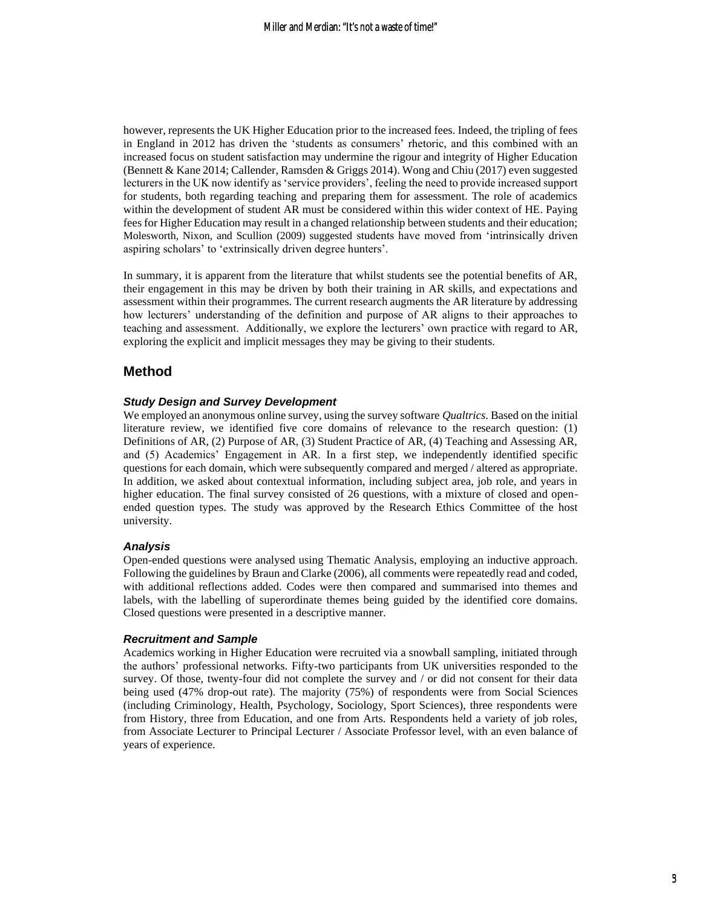however, represents the UK Higher Education prior to the increased fees. Indeed, the tripling of fees in England in 2012 has driven the 'students as consumers' rhetoric, and this combined with an increased focus on student satisfaction may undermine the rigour and integrity of Higher Education (Bennett & Kane 2014; Callender, Ramsden & Griggs 2014). Wong and Chiu (2017) even suggested lecturers in the UK now identify as 'service providers', feeling the need to provide increased support for students, both regarding teaching and preparing them for assessment. The role of academics within the development of student AR must be considered within this wider context of HE. Paying fees for Higher Education may result in a changed relationship between students and their education; Molesworth, Nixon, and Scullion (2009) suggested students have moved from 'intrinsically driven aspiring scholars' to 'extrinsically driven degree hunters'.

In summary, it is apparent from the literature that whilst students see the potential benefits of AR, their engagement in this may be driven by both their training in AR skills, and expectations and assessment within their programmes. The current research augments the AR literature by addressing how lecturers' understanding of the definition and purpose of AR aligns to their approaches to teaching and assessment. Additionally, we explore the lecturers' own practice with regard to AR, exploring the explicit and implicit messages they may be giving to their students.

## **Method**

#### *Study Design and Survey Development*

We employed an anonymous online survey, using the survey software *Qualtrics*. Based on the initial literature review, we identified five core domains of relevance to the research question: (1) Definitions of AR, (2) Purpose of AR, (3) Student Practice of AR, (4) Teaching and Assessing AR, and (5) Academics' Engagement in AR. In a first step, we independently identified specific questions for each domain, which were subsequently compared and merged / altered as appropriate. In addition, we asked about contextual information, including subject area, job role, and years in higher education. The final survey consisted of 26 questions, with a mixture of closed and openended question types. The study was approved by the Research Ethics Committee of the host university.

#### *Analysis*

Open-ended questions were analysed using Thematic Analysis, employing an inductive approach. Following the guidelines by Braun and Clarke (2006), all comments were repeatedly read and coded, with additional reflections added. Codes were then compared and summarised into themes and labels, with the labelling of superordinate themes being guided by the identified core domains. Closed questions were presented in a descriptive manner.

#### *Recruitment and Sample*

Academics working in Higher Education were recruited via a snowball sampling, initiated through the authors' professional networks. Fifty-two participants from UK universities responded to the survey. Of those, twenty-four did not complete the survey and / or did not consent for their data being used (47% drop-out rate). The majority (75%) of respondents were from Social Sciences (including Criminology, Health, Psychology, Sociology, Sport Sciences), three respondents were from History, three from Education, and one from Arts. Respondents held a variety of job roles, from Associate Lecturer to Principal Lecturer / Associate Professor level, with an even balance of years of experience.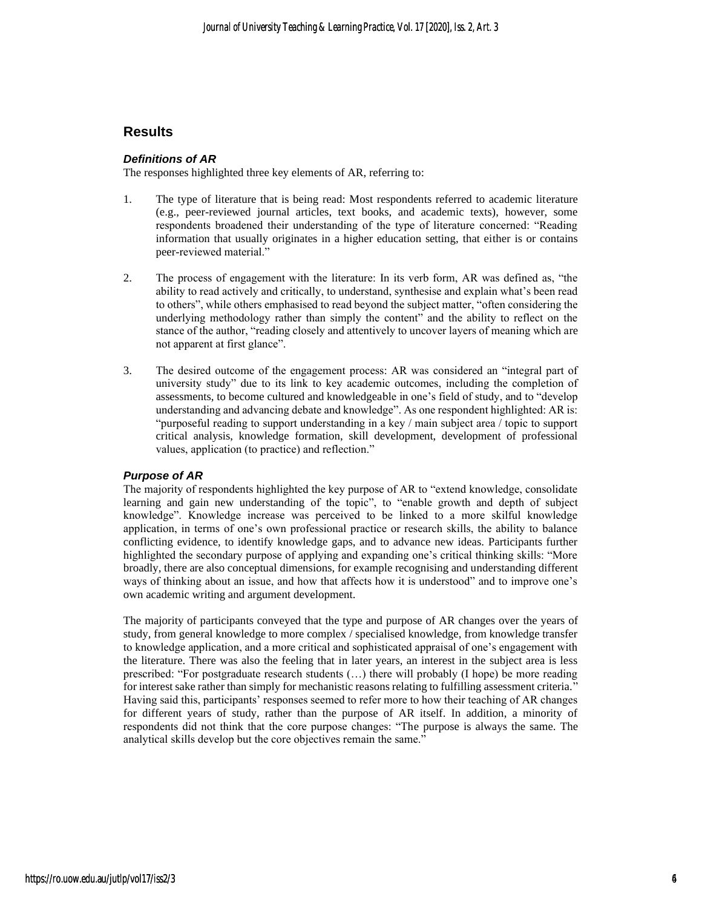## **Results**

#### *Definitions of AR*

The responses highlighted three key elements of AR, referring to:

- 1. The type of literature that is being read: Most respondents referred to academic literature (e.g., peer-reviewed journal articles, text books, and academic texts), however, some respondents broadened their understanding of the type of literature concerned: "Reading information that usually originates in a higher education setting, that either is or contains peer-reviewed material."
- 2. The process of engagement with the literature: In its verb form, AR was defined as, "the ability to read actively and critically, to understand, synthesise and explain what's been read to others", while others emphasised to read beyond the subject matter, "often considering the underlying methodology rather than simply the content" and the ability to reflect on the stance of the author, "reading closely and attentively to uncover layers of meaning which are not apparent at first glance".
- 3. The desired outcome of the engagement process: AR was considered an "integral part of university study" due to its link to key academic outcomes, including the completion of assessments, to become cultured and knowledgeable in one's field of study, and to "develop understanding and advancing debate and knowledge". As one respondent highlighted: AR is: "purposeful reading to support understanding in a key / main subject area / topic to support critical analysis, knowledge formation, skill development, development of professional values, application (to practice) and reflection."

#### *Purpose of AR*

The majority of respondents highlighted the key purpose of AR to "extend knowledge, consolidate learning and gain new understanding of the topic", to "enable growth and depth of subject knowledge". Knowledge increase was perceived to be linked to a more skilful knowledge application, in terms of one's own professional practice or research skills, the ability to balance conflicting evidence, to identify knowledge gaps, and to advance new ideas. Participants further highlighted the secondary purpose of applying and expanding one's critical thinking skills: "More broadly, there are also conceptual dimensions, for example recognising and understanding different ways of thinking about an issue, and how that affects how it is understood" and to improve one's own academic writing and argument development.

The majority of participants conveyed that the type and purpose of AR changes over the years of study, from general knowledge to more complex / specialised knowledge, from knowledge transfer to knowledge application, and a more critical and sophisticated appraisal of one's engagement with the literature. There was also the feeling that in later years, an interest in the subject area is less prescribed: "For postgraduate research students (…) there will probably (I hope) be more reading for interest sake rather than simply for mechanistic reasons relating to fulfilling assessment criteria." Having said this, participants' responses seemed to refer more to how their teaching of AR changes for different years of study, rather than the purpose of AR itself. In addition, a minority of respondents did not think that the core purpose changes: "The purpose is always the same. The analytical skills develop but the core objectives remain the same."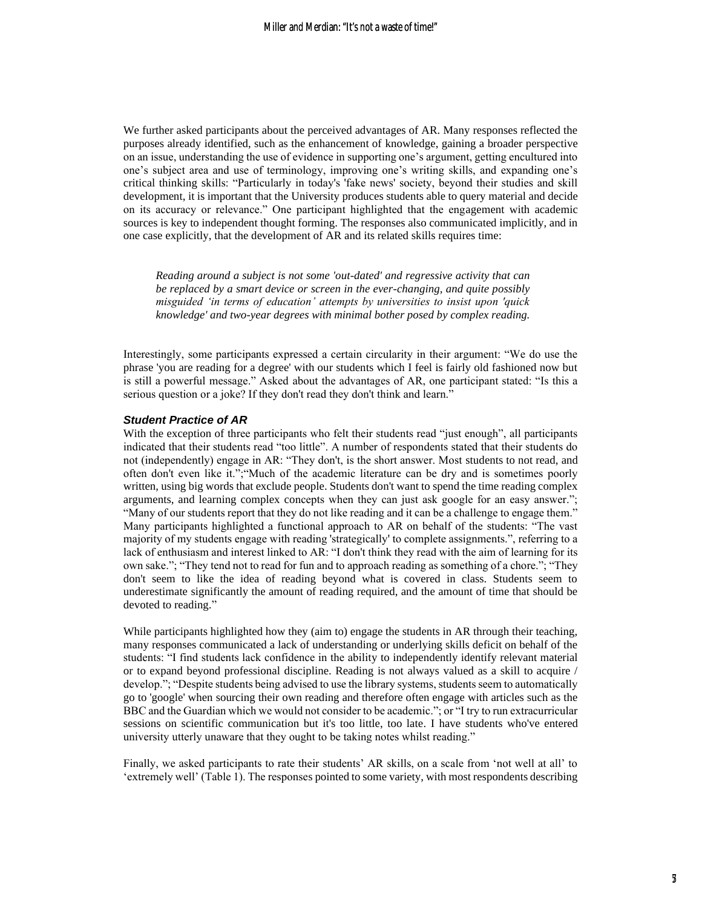We further asked participants about the perceived advantages of AR. Many responses reflected the purposes already identified, such as the enhancement of knowledge, gaining a broader perspective on an issue, understanding the use of evidence in supporting one's argument, getting encultured into one's subject area and use of terminology, improving one's writing skills, and expanding one's critical thinking skills: "Particularly in today's 'fake news' society, beyond their studies and skill development, it is important that the University produces students able to query material and decide on its accuracy or relevance." One participant highlighted that the engagement with academic sources is key to independent thought forming. The responses also communicated implicitly, and in one case explicitly, that the development of AR and its related skills requires time:

*Reading around a subject is not some 'out-dated' and regressive activity that can be replaced by a smart device or screen in the ever-changing, and quite possibly misguided 'in terms of education' attempts by universities to insist upon 'quick knowledge' and two-year degrees with minimal bother posed by complex reading.*

Interestingly, some participants expressed a certain circularity in their argument: "We do use the phrase 'you are reading for a degree' with our students which I feel is fairly old fashioned now but is still a powerful message." Asked about the advantages of AR, one participant stated: "Is this a serious question or a joke? If they don't read they don't think and learn."

#### *Student Practice of AR*

With the exception of three participants who felt their students read "just enough", all participants indicated that their students read "too little". A number of respondents stated that their students do not (independently) engage in AR: "They don't, is the short answer. Most students to not read, and often don't even like it.";"Much of the academic literature can be dry and is sometimes poorly written, using big words that exclude people. Students don't want to spend the time reading complex arguments, and learning complex concepts when they can just ask google for an easy answer."; "Many of our students report that they do not like reading and it can be a challenge to engage them." Many participants highlighted a functional approach to AR on behalf of the students: "The vast majority of my students engage with reading 'strategically' to complete assignments.", referring to a lack of enthusiasm and interest linked to AR: "I don't think they read with the aim of learning for its own sake."; "They tend not to read for fun and to approach reading as something of a chore."; "They don't seem to like the idea of reading beyond what is covered in class. Students seem to underestimate significantly the amount of reading required, and the amount of time that should be devoted to reading."

While participants highlighted how they (aim to) engage the students in AR through their teaching, many responses communicated a lack of understanding or underlying skills deficit on behalf of the students: "I find students lack confidence in the ability to independently identify relevant material or to expand beyond professional discipline. Reading is not always valued as a skill to acquire / develop."; "Despite students being advised to use the library systems, students seem to automatically go to 'google' when sourcing their own reading and therefore often engage with articles such as the BBC and the Guardian which we would not consider to be academic."; or "I try to run extracurricular sessions on scientific communication but it's too little, too late. I have students who've entered university utterly unaware that they ought to be taking notes whilst reading."

Finally, we asked participants to rate their students' AR skills, on a scale from 'not well at all' to 'extremely well' (Table 1). The responses pointed to some variety, with most respondents describing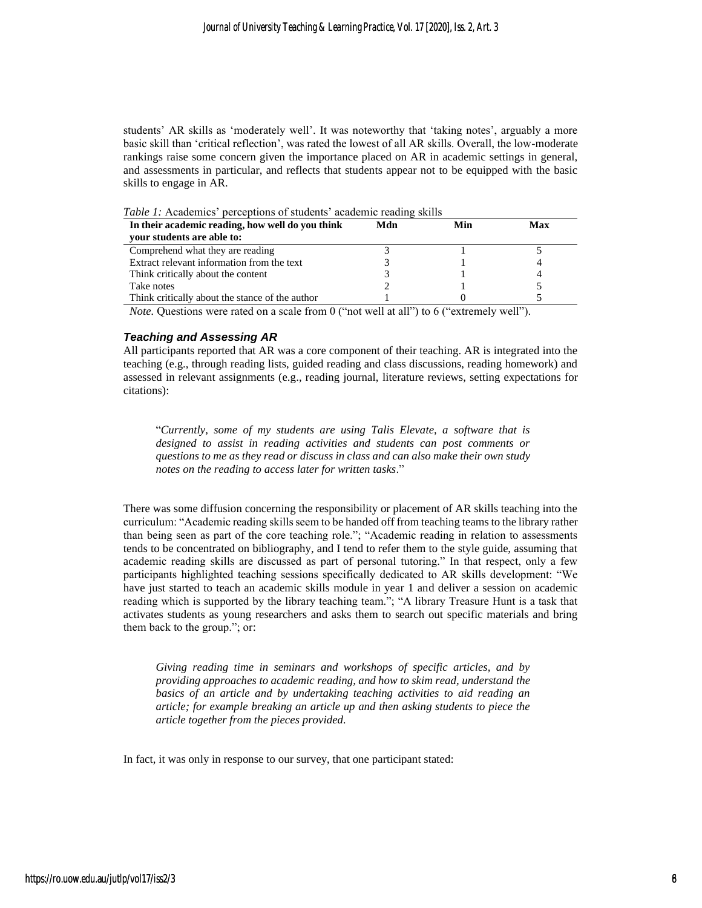students' AR skills as 'moderately well'. It was noteworthy that 'taking notes', arguably a more basic skill than 'critical reflection', was rated the lowest of all AR skills. Overall, the low-moderate rankings raise some concern given the importance placed on AR in academic settings in general, and assessments in particular, and reflects that students appear not to be equipped with the basic skills to engage in AR.

*Table 1:* Academics' perceptions of students' academic reading skills

| In their academic reading, how well do you think | Mdn | Min | Max |
|--------------------------------------------------|-----|-----|-----|
| your students are able to:                       |     |     |     |
| Comprehend what they are reading                 |     |     |     |
| Extract relevant information from the text       |     |     |     |
| Think critically about the content               |     |     |     |
| Take notes                                       |     |     |     |
| Think critically about the stance of the author  |     |     |     |

*Note.* Questions were rated on a scale from 0 ("not well at all") to 6 ("extremely well").

#### *Teaching and Assessing AR*

All participants reported that AR was a core component of their teaching. AR is integrated into the teaching (e.g., through reading lists, guided reading and class discussions, reading homework) and assessed in relevant assignments (e.g., reading journal, literature reviews, setting expectations for citations):

"*Currently, some of my students are using Talis Elevate, a software that is designed to assist in reading activities and students can post comments or questions to me as they read or discuss in class and can also make their own study notes on the reading to access later for written tasks*."

There was some diffusion concerning the responsibility or placement of AR skills teaching into the curriculum: "Academic reading skills seem to be handed off from teaching teams to the library rather than being seen as part of the core teaching role."; "Academic reading in relation to assessments tends to be concentrated on bibliography, and I tend to refer them to the style guide, assuming that academic reading skills are discussed as part of personal tutoring." In that respect, only a few participants highlighted teaching sessions specifically dedicated to AR skills development: "We have just started to teach an academic skills module in year 1 and deliver a session on academic reading which is supported by the library teaching team."; "A library Treasure Hunt is a task that activates students as young researchers and asks them to search out specific materials and bring them back to the group."; or:

*Giving reading time in seminars and workshops of specific articles, and by providing approaches to academic reading, and how to skim read, understand the basics of an article and by undertaking teaching activities to aid reading an article; for example breaking an article up and then asking students to piece the article together from the pieces provided.*

In fact, it was only in response to our survey, that one participant stated: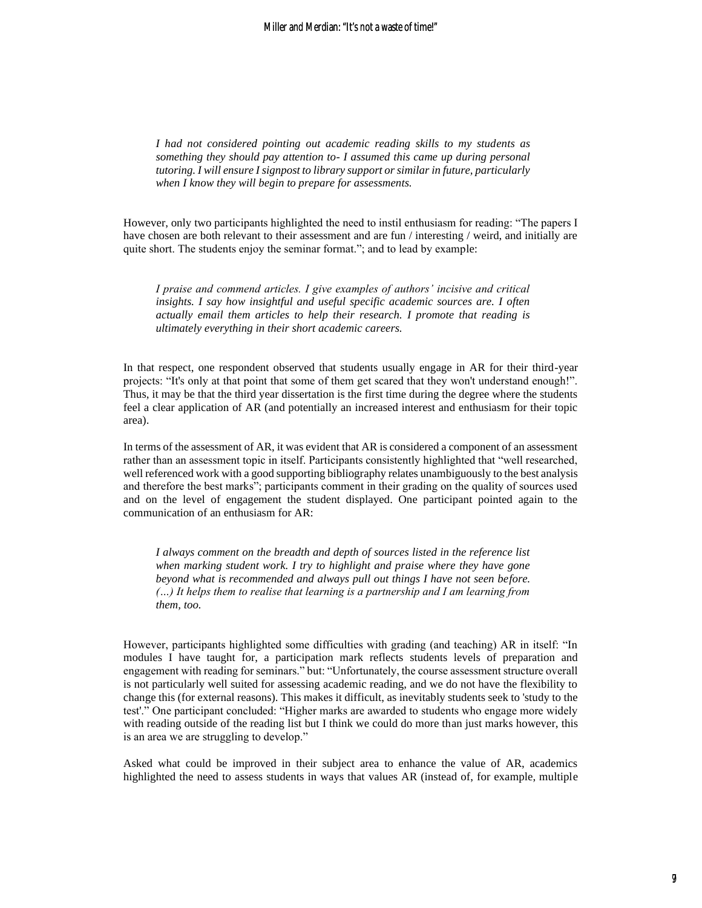*I had not considered pointing out academic reading skills to my students as something they should pay attention to- I assumed this came up during personal tutoring. I will ensure I signpost to library support or similar in future, particularly when I know they will begin to prepare for assessments.* 

However, only two participants highlighted the need to instil enthusiasm for reading: "The papers I have chosen are both relevant to their assessment and are fun / interesting / weird, and initially are quite short. The students enjoy the seminar format."; and to lead by example:

*I praise and commend articles. I give examples of authors' incisive and critical insights. I say how insightful and useful specific academic sources are. I often actually email them articles to help their research. I promote that reading is ultimately everything in their short academic careers.*

In that respect, one respondent observed that students usually engage in AR for their third-year projects: "It's only at that point that some of them get scared that they won't understand enough!". Thus, it may be that the third year dissertation is the first time during the degree where the students feel a clear application of AR (and potentially an increased interest and enthusiasm for their topic area).

In terms of the assessment of AR, it was evident that AR is considered a component of an assessment rather than an assessment topic in itself. Participants consistently highlighted that "well researched, well referenced work with a good supporting bibliography relates unambiguously to the best analysis and therefore the best marks"; participants comment in their grading on the quality of sources used and on the level of engagement the student displayed. One participant pointed again to the communication of an enthusiasm for AR:

*I always comment on the breadth and depth of sources listed in the reference list when marking student work. I try to highlight and praise where they have gone beyond what is recommended and always pull out things I have not seen before. (…) It helps them to realise that learning is a partnership and I am learning from them, too.*

However, participants highlighted some difficulties with grading (and teaching) AR in itself: "In modules I have taught for, a participation mark reflects students levels of preparation and engagement with reading for seminars." but: "Unfortunately, the course assessment structure overall is not particularly well suited for assessing academic reading, and we do not have the flexibility to change this (for external reasons). This makes it difficult, as inevitably students seek to 'study to the test'." One participant concluded: "Higher marks are awarded to students who engage more widely with reading outside of the reading list but I think we could do more than just marks however, this is an area we are struggling to develop."

Asked what could be improved in their subject area to enhance the value of AR, academics highlighted the need to assess students in ways that values AR (instead of, for example, multiple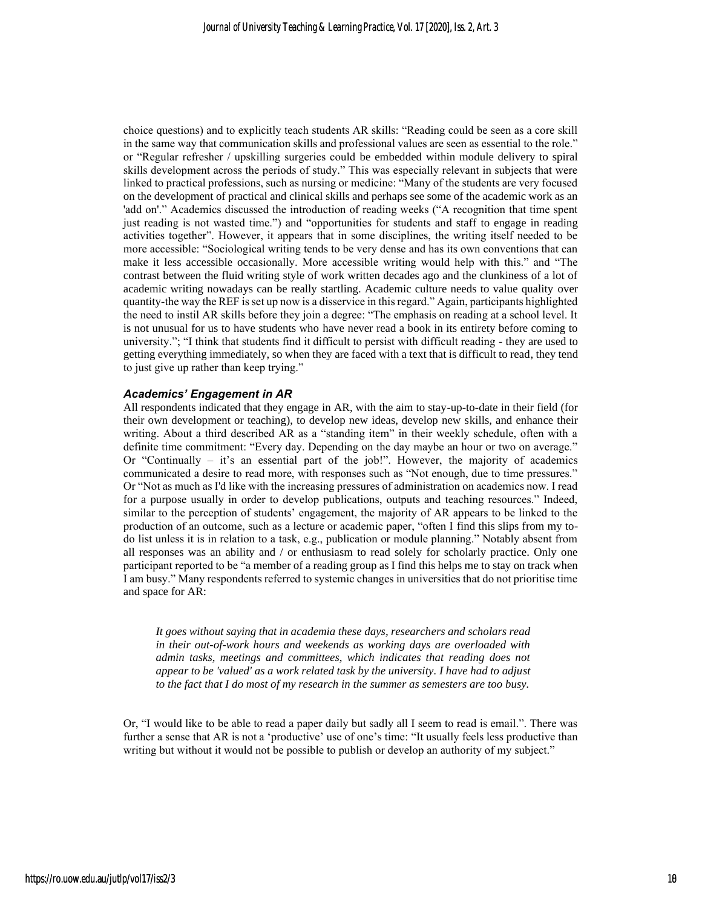choice questions) and to explicitly teach students AR skills: "Reading could be seen as a core skill in the same way that communication skills and professional values are seen as essential to the role." or "Regular refresher / upskilling surgeries could be embedded within module delivery to spiral skills development across the periods of study." This was especially relevant in subjects that were linked to practical professions, such as nursing or medicine: "Many of the students are very focused on the development of practical and clinical skills and perhaps see some of the academic work as an 'add on'." Academics discussed the introduction of reading weeks ("A recognition that time spent just reading is not wasted time.") and "opportunities for students and staff to engage in reading activities together". However, it appears that in some disciplines, the writing itself needed to be more accessible: "Sociological writing tends to be very dense and has its own conventions that can make it less accessible occasionally. More accessible writing would help with this." and "The contrast between the fluid writing style of work written decades ago and the clunkiness of a lot of academic writing nowadays can be really startling. Academic culture needs to value quality over quantity-the way the REF is set up now is a disservice in this regard." Again, participants highlighted the need to instil AR skills before they join a degree: "The emphasis on reading at a school level. It is not unusual for us to have students who have never read a book in its entirety before coming to university."; "I think that students find it difficult to persist with difficult reading - they are used to getting everything immediately, so when they are faced with a text that is difficult to read, they tend to just give up rather than keep trying."

#### *Academics' Engagement in AR*

All respondents indicated that they engage in AR, with the aim to stay-up-to-date in their field (for their own development or teaching), to develop new ideas, develop new skills, and enhance their writing. About a third described AR as a "standing item" in their weekly schedule, often with a definite time commitment: "Every day. Depending on the day maybe an hour or two on average." Or "Continually – it's an essential part of the job!". However, the majority of academics communicated a desire to read more, with responses such as "Not enough, due to time pressures." Or "Not as much as I'd like with the increasing pressures of administration on academics now. I read for a purpose usually in order to develop publications, outputs and teaching resources." Indeed, similar to the perception of students' engagement, the majority of AR appears to be linked to the production of an outcome, such as a lecture or academic paper, "often I find this slips from my todo list unless it is in relation to a task, e.g., publication or module planning." Notably absent from all responses was an ability and / or enthusiasm to read solely for scholarly practice. Only one participant reported to be "a member of a reading group as I find this helps me to stay on track when I am busy." Many respondents referred to systemic changes in universities that do not prioritise time and space for AR:

*It goes without saying that in academia these days, researchers and scholars read in their out-of-work hours and weekends as working days are overloaded with admin tasks, meetings and committees, which indicates that reading does not appear to be 'valued' as a work related task by the university. I have had to adjust to the fact that I do most of my research in the summer as semesters are too busy.*

Or, "I would like to be able to read a paper daily but sadly all I seem to read is email.". There was further a sense that AR is not a 'productive' use of one's time: "It usually feels less productive than writing but without it would not be possible to publish or develop an authority of my subject."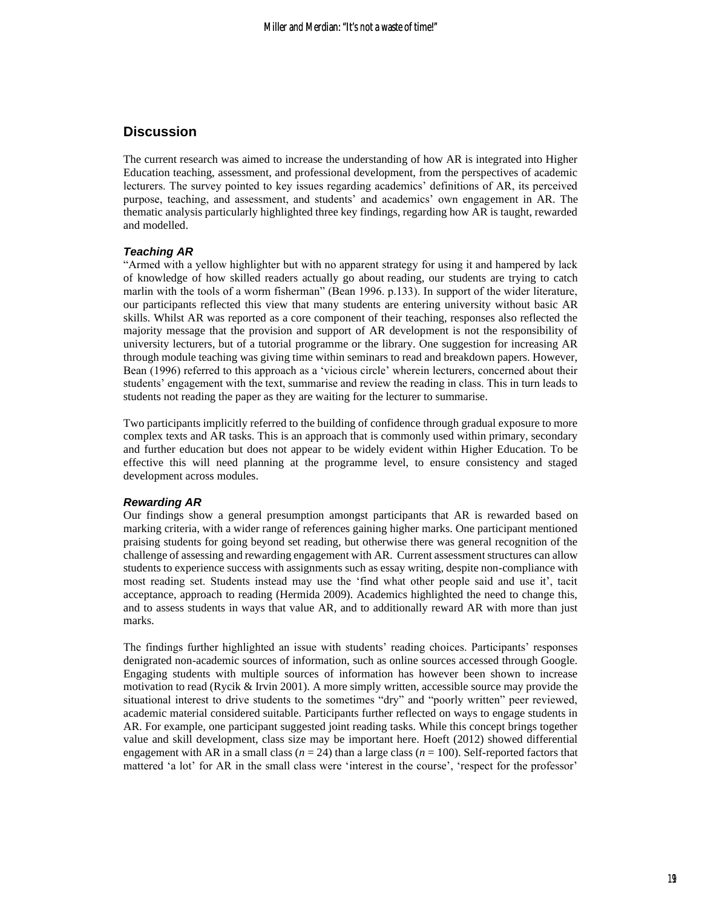## **Discussion**

The current research was aimed to increase the understanding of how AR is integrated into Higher Education teaching, assessment, and professional development, from the perspectives of academic lecturers. The survey pointed to key issues regarding academics' definitions of AR, its perceived purpose, teaching, and assessment, and students' and academics' own engagement in AR. The thematic analysis particularly highlighted three key findings, regarding how AR is taught, rewarded and modelled.

#### *Teaching AR*

"Armed with a yellow highlighter but with no apparent strategy for using it and hampered by lack of knowledge of how skilled readers actually go about reading, our students are trying to catch marlin with the tools of a worm fisherman" (Bean 1996. p.133). In support of the wider literature, our participants reflected this view that many students are entering university without basic AR skills. Whilst AR was reported as a core component of their teaching, responses also reflected the majority message that the provision and support of AR development is not the responsibility of university lecturers, but of a tutorial programme or the library. One suggestion for increasing AR through module teaching was giving time within seminars to read and breakdown papers. However, Bean (1996) referred to this approach as a 'vicious circle' wherein lecturers, concerned about their students' engagement with the text, summarise and review the reading in class. This in turn leads to students not reading the paper as they are waiting for the lecturer to summarise.

Two participants implicitly referred to the building of confidence through gradual exposure to more complex texts and AR tasks. This is an approach that is commonly used within primary, secondary and further education but does not appear to be widely evident within Higher Education. To be effective this will need planning at the programme level, to ensure consistency and staged development across modules.

#### *Rewarding AR*

Our findings show a general presumption amongst participants that AR is rewarded based on marking criteria, with a wider range of references gaining higher marks. One participant mentioned praising students for going beyond set reading, but otherwise there was general recognition of the challenge of assessing and rewarding engagement with AR. Current assessment structures can allow students to experience success with assignments such as essay writing, despite non-compliance with most reading set. Students instead may use the 'find what other people said and use it', tacit acceptance, approach to reading (Hermida 2009). Academics highlighted the need to change this, and to assess students in ways that value AR, and to additionally reward AR with more than just marks.

The findings further highlighted an issue with students' reading choices. Participants' responses denigrated non-academic sources of information, such as online sources accessed through Google. Engaging students with multiple sources of information has however been shown to increase motivation to read (Rycik & Irvin 2001). A more simply written, accessible source may provide the situational interest to drive students to the sometimes "dry" and "poorly written" peer reviewed, academic material considered suitable. Participants further reflected on ways to engage students in AR. For example, one participant suggested joint reading tasks. While this concept brings together value and skill development, class size may be important here. Hoeft (2012) showed differential engagement with AR in a small class ( $n = 24$ ) than a large class ( $n = 100$ ). Self-reported factors that mattered 'a lot' for AR in the small class were 'interest in the course', 'respect for the professor'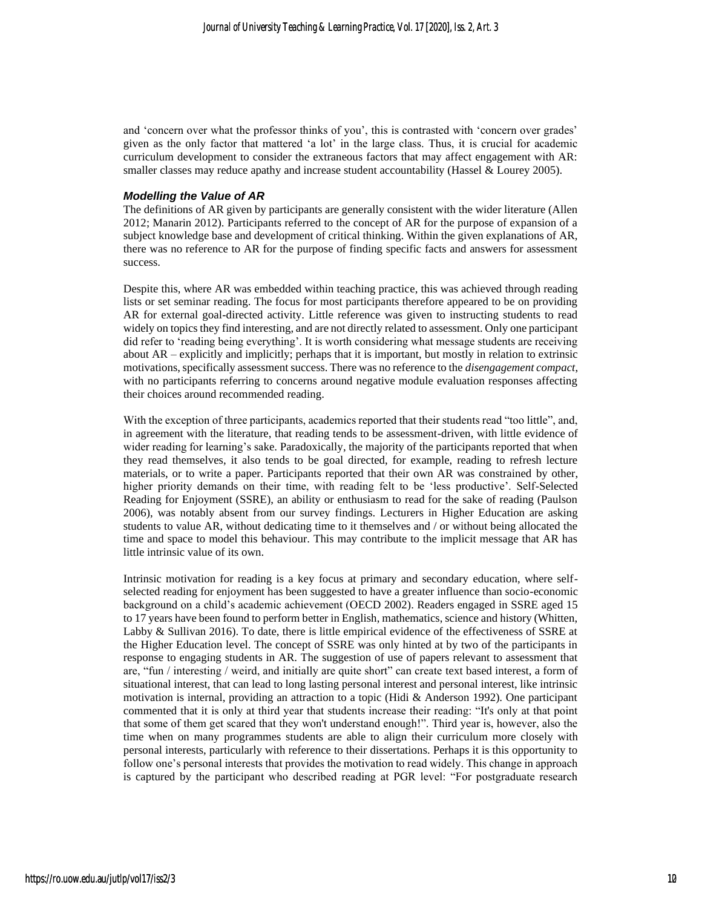and 'concern over what the professor thinks of you', this is contrasted with 'concern over grades' given as the only factor that mattered 'a lot' in the large class. Thus, it is crucial for academic curriculum development to consider the extraneous factors that may affect engagement with AR: smaller classes may reduce apathy and increase student accountability (Hassel & Lourey 2005).

#### *Modelling the Value of AR*

The definitions of AR given by participants are generally consistent with the wider literature (Allen 2012; Manarin 2012). Participants referred to the concept of AR for the purpose of expansion of a subject knowledge base and development of critical thinking. Within the given explanations of AR, there was no reference to AR for the purpose of finding specific facts and answers for assessment success.

Despite this, where AR was embedded within teaching practice, this was achieved through reading lists or set seminar reading. The focus for most participants therefore appeared to be on providing AR for external goal-directed activity. Little reference was given to instructing students to read widely on topics they find interesting, and are not directly related to assessment. Only one participant did refer to 'reading being everything'. It is worth considering what message students are receiving about AR – explicitly and implicitly; perhaps that it is important, but mostly in relation to extrinsic motivations, specifically assessment success. There was no reference to the *disengagement compact*, with no participants referring to concerns around negative module evaluation responses affecting their choices around recommended reading.

With the exception of three participants, academics reported that their students read "too little", and, in agreement with the literature, that reading tends to be assessment-driven, with little evidence of wider reading for learning's sake. Paradoxically, the majority of the participants reported that when they read themselves, it also tends to be goal directed, for example, reading to refresh lecture materials, or to write a paper. Participants reported that their own AR was constrained by other, higher priority demands on their time, with reading felt to be 'less productive'. Self-Selected Reading for Enjoyment (SSRE), an ability or enthusiasm to read for the sake of reading (Paulson 2006), was notably absent from our survey findings. Lecturers in Higher Education are asking students to value AR, without dedicating time to it themselves and / or without being allocated the time and space to model this behaviour. This may contribute to the implicit message that AR has little intrinsic value of its own.

Intrinsic motivation for reading is a key focus at primary and secondary education, where selfselected reading for enjoyment has been suggested to have a greater influence than socio-economic background on a child's academic achievement (OECD 2002). Readers engaged in SSRE aged 15 to 17 years have been found to perform better in English, mathematics, science and history (Whitten, Labby & Sullivan 2016). To date, there is little empirical evidence of the effectiveness of SSRE at the Higher Education level. The concept of SSRE was only hinted at by two of the participants in response to engaging students in AR. The suggestion of use of papers relevant to assessment that are, "fun / interesting / weird, and initially are quite short" can create text based interest, a form of situational interest, that can lead to long lasting personal interest and personal interest, like intrinsic motivation is internal, providing an attraction to a topic (Hidi & Anderson 1992). One participant commented that it is only at third year that students increase their reading: "It's only at that point that some of them get scared that they won't understand enough!". Third year is, however, also the time when on many programmes students are able to align their curriculum more closely with personal interests, particularly with reference to their dissertations. Perhaps it is this opportunity to follow one's personal interests that provides the motivation to read widely. This change in approach is captured by the participant who described reading at PGR level: "For postgraduate research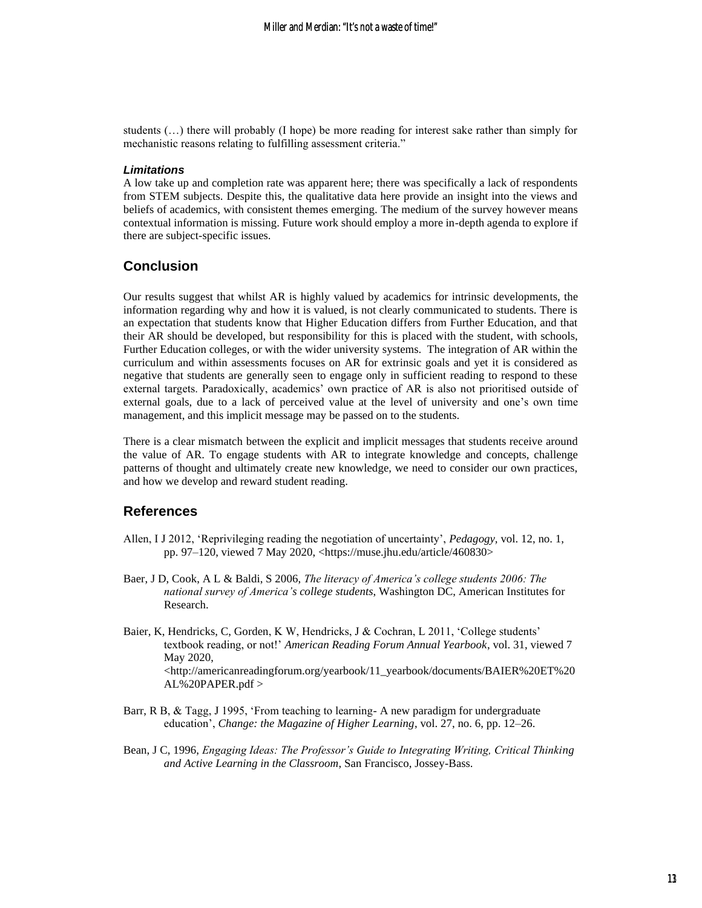students (…) there will probably (I hope) be more reading for interest sake rather than simply for mechanistic reasons relating to fulfilling assessment criteria."

#### *Limitations*

A low take up and completion rate was apparent here; there was specifically a lack of respondents from STEM subjects. Despite this, the qualitative data here provide an insight into the views and beliefs of academics, with consistent themes emerging. The medium of the survey however means contextual information is missing. Future work should employ a more in-depth agenda to explore if there are subject-specific issues.

### **Conclusion**

Our results suggest that whilst AR is highly valued by academics for intrinsic developments, the information regarding why and how it is valued, is not clearly communicated to students. There is an expectation that students know that Higher Education differs from Further Education, and that their AR should be developed, but responsibility for this is placed with the student, with schools, Further Education colleges, or with the wider university systems. The integration of AR within the curriculum and within assessments focuses on AR for extrinsic goals and yet it is considered as negative that students are generally seen to engage only in sufficient reading to respond to these external targets. Paradoxically, academics' own practice of AR is also not prioritised outside of external goals, due to a lack of perceived value at the level of university and one's own time management, and this implicit message may be passed on to the students.

There is a clear mismatch between the explicit and implicit messages that students receive around the value of AR. To engage students with AR to integrate knowledge and concepts, challenge patterns of thought and ultimately create new knowledge, we need to consider our own practices, and how we develop and reward student reading.

### **References**

- Allen, I J 2012, 'Reprivileging reading the negotiation of uncertainty', *Pedagogy,* vol. 12, no. 1, pp. 97–120, viewed 7 May 2020, <https://muse.jhu.edu/article/460830>
- Baer, J D, Cook, A L & Baldi, S 2006, *The literacy of America's college students 2006: The national survey of America's college students*, Washington DC, American Institutes for Research.
- Baier, K, Hendricks, C, Gorden, K W, Hendricks, J & Cochran, L 2011, 'College students' textbook reading, or not!' *American Reading Forum Annual Yearbook*, vol. 31, viewed 7 May 2020, <http://americanreadingforum.org/yearbook/11\_yearbook/documents/BAIER%20ET%20 AL%20PAPER.pdf >
- Barr, R B, & Tagg, J 1995, 'From teaching to learning- A new paradigm for undergraduate education', *Change: the Magazine of Higher Learning*, vol. 27, no. 6, pp. 12–26.
- Bean, J C, 1996, *Engaging Ideas: The Professor's Guide to Integrating Writing, Critical Thinking and Active Learning in the Classroom*, San Francisco, Jossey-Bass.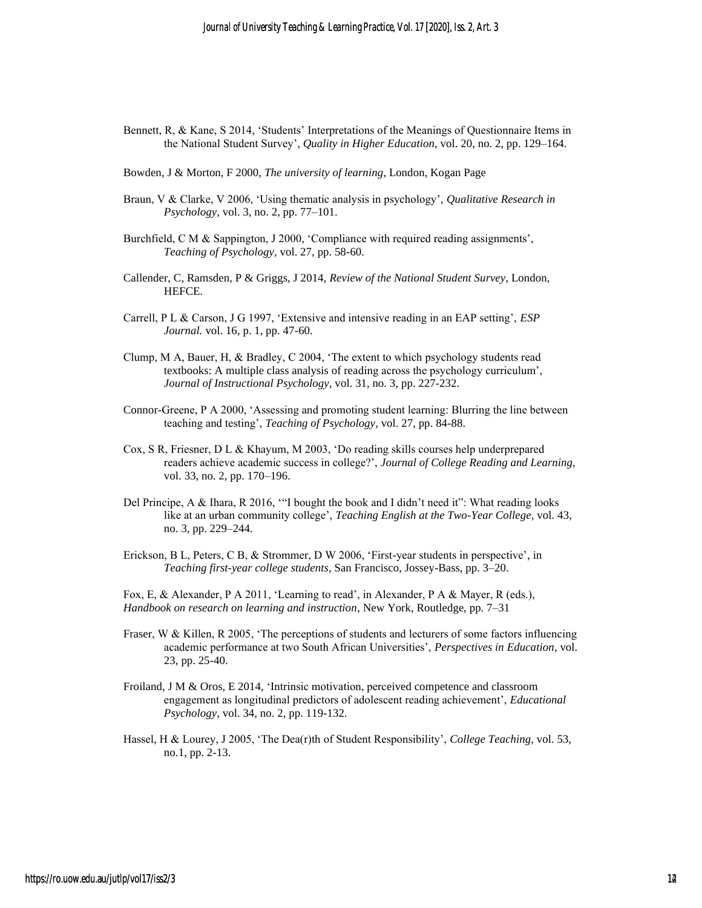- Bennett, R, & Kane, S 2014, 'Students' Interpretations of the Meanings of Questionnaire Items in the National Student Survey', *Quality in Higher Education,* vol. 20, no. 2, pp. 129–164.
- Bowden, J & Morton, F 2000, *The university of learning*, London, Kogan Page
- Braun, V & Clarke, V 2006, 'Using thematic analysis in psychology', *Qualitative Research in Psychology,* vol. 3, no. 2, pp. 77–101.
- Burchfield, C M & Sappington, J 2000, 'Compliance with required reading assignments', *Teaching of Psychology,* vol. 27, pp. 58-60.
- Callender, C, Ramsden, P & Griggs, J 2014, *Review of the National Student Survey*, London, HEFCE.
- Carrell, P L & Carson, J G 1997, 'Extensive and intensive reading in an EAP setting', *ESP Journal.* vol. 16, p. 1, pp. 47-60.
- Clump, M A, Bauer, H, & Bradley, C 2004, 'The extent to which psychology students read textbooks: A multiple class analysis of reading across the psychology curriculum', *Journal of Instructional Psychology*, vol. 31, no. 3, pp. 227-232.
- Connor-Greene, P A 2000, 'Assessing and promoting student learning: Blurring the line between teaching and testing', *Teaching of Psychology*, vol. 27, pp. 84-88.
- Cox, S R, Friesner, D L & Khayum, M 2003, 'Do reading skills courses help underprepared readers achieve academic success in college?', *Journal of College Reading and Learning,*  vol. 33, no. 2, pp. 170–196.
- Del Principe, A & Ihara, R 2016, '"I bought the book and I didn't need it": What reading looks like at an urban community college', *Teaching English at the Two-Year College*, vol. 43, no. 3, pp. 229–244.
- Erickson, B L, Peters, C B, & Strommer, D W 2006, 'First-year students in perspective', in *Teaching first-year college students*, San Francisco, Jossey-Bass, pp. 3–20.

Fox, E, & Alexander, P A 2011, 'Learning to read', in Alexander, P A & Mayer, R (eds.), *Handbook on research on learning and instruction*, New York, Routledge, pp. 7–31

- Fraser, W & Killen, R 2005, 'The perceptions of students and lecturers of some factors influencing academic performance at two South African Universities', *Perspectives in Education*, vol. 23, pp. 25-40.
- Froiland, J M & Oros, E 2014, 'Intrinsic motivation, perceived competence and classroom engagement as longitudinal predictors of adolescent reading achievement', *Educational Psychology*, vol. 34, no. 2, pp. 119-132.
- Hassel, H & Lourey, J 2005, 'The Dea(r)th of Student Responsibility', *College Teaching*, vol. 53, no.1, pp. 2-13.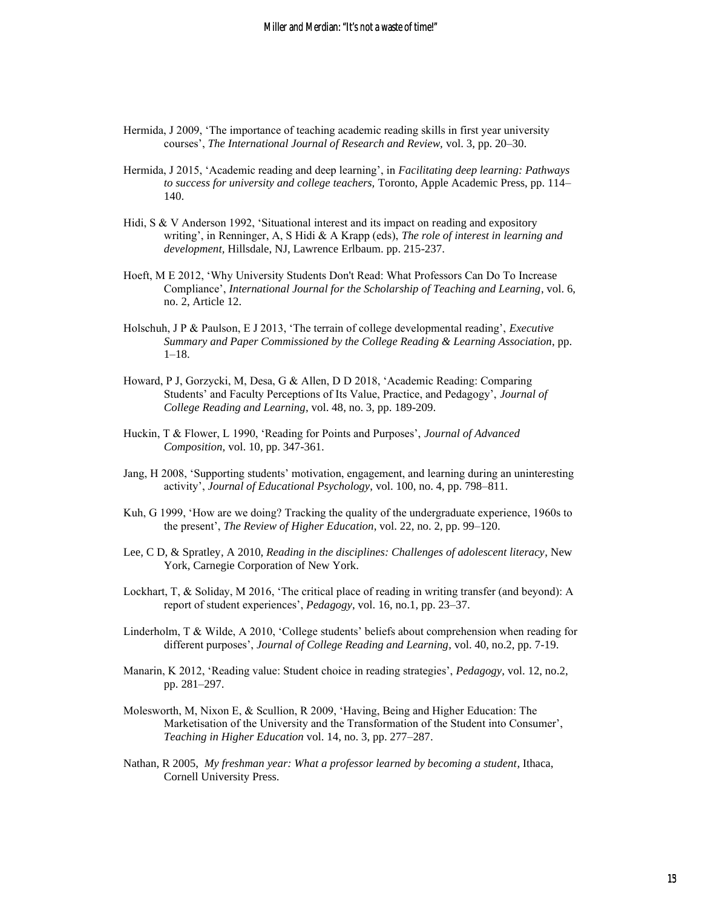- Hermida, J 2009, 'The importance of teaching academic reading skills in first year university courses', *The International Journal of Research and Review,* vol. 3, pp. 20–30.
- Hermida, J 2015, 'Academic reading and deep learning', in *Facilitating deep learning: Pathways to success for university and college teachers,* Toronto, Apple Academic Press, pp. 114– 140.
- Hidi, S & V Anderson 1992, 'Situational interest and its impact on reading and expository writing', in Renninger, A, S Hidi & A Krapp (eds), *The role of interest in learning and development,* Hillsdale, NJ, Lawrence Erlbaum. pp. 215-237.
- Hoeft, M E 2012, 'Why University Students Don't Read: What Professors Can Do To Increase Compliance', *International Journal for the Scholarship of Teaching and Learning*, vol. 6, no. 2, Article 12.
- Holschuh, J P & Paulson, E J 2013, 'The terrain of college developmental reading', *Executive Summary and Paper Commissioned by the College Reading & Learning Association*, pp. 1–18.
- Howard, P J, Gorzycki, M, Desa, G & Allen, D D 2018, 'Academic Reading: Comparing Students' and Faculty Perceptions of Its Value, Practice, and Pedagogy', *Journal of College Reading and Learning*, vol. 48, no. 3, pp. 189-209.
- Huckin, T & Flower, L 1990, 'Reading for Points and Purposes', *Journal of Advanced Composition,* vol. 10, pp. 347-361.
- Jang, H 2008, 'Supporting students' motivation, engagement, and learning during an uninteresting activity', *Journal of Educational Psychology*, vol. 100, no. 4, pp. 798–811.
- Kuh, G 1999, 'How are we doing? Tracking the quality of the undergraduate experience, 1960s to the present', *The Review of Higher Education*, vol. 22, no. 2, pp. 99–120.
- Lee, C D, & Spratley, A 2010, *Reading in the disciplines: Challenges of adolescent literacy*, New York, Carnegie Corporation of New York.
- Lockhart, T, & Soliday, M 2016, 'The critical place of reading in writing transfer (and beyond): A report of student experiences', *Pedagogy*, vol. 16, no.1, pp. 23–37.
- Linderholm, T & Wilde, A 2010, 'College students' beliefs about comprehension when reading for different purposes', *Journal of College Reading and Learning*, vol. 40, no.2, pp. 7-19.
- Manarin, K 2012, 'Reading value: Student choice in reading strategies', *Pedagogy*, vol. 12, no.2, pp. 281–297.
- Molesworth, M, Nixon E, & Scullion, R 2009, 'Having, Being and Higher Education: The Marketisation of the University and the Transformation of the Student into Consumer', *Teaching in Higher Education* vol. 14, no. 3, pp. 277–287.
- Nathan, R 2005, *My freshman year: What a professor learned by becoming a student*, Ithaca, Cornell University Press.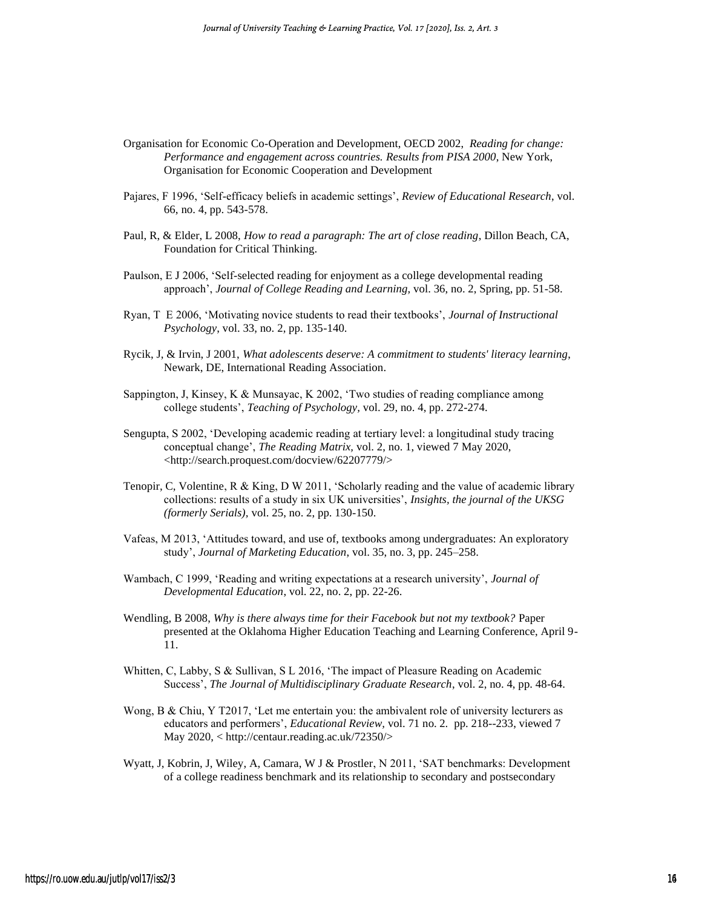- Organisation for Economic Co-Operation and Development, OECD 2002, *Reading for change: Performance and engagement across countries. Results from PISA 2000*, New York, Organisation for Economic Cooperation and Development
- Pajares, F 1996, 'Self-efficacy beliefs in academic settings', *Review of Educational Research*, vol. 66, no. 4, pp. 543-578.
- Paul, R, & Elder, L 2008, *How to read a paragraph: The art of close reading*, Dillon Beach, CA, Foundation for Critical Thinking.
- Paulson, E J 2006, 'Self-selected reading for enjoyment as a college developmental reading approach', *Journal of College Reading and Learning,* vol. 36, no. 2, Spring, pp. 51-58.
- Ryan, T E 2006, 'Motivating novice students to read their textbooks', *Journal of Instructional Psychology*, vol. 33, no. 2, pp. 135-140.
- Rycik, J, & Irvin, J 2001, *What adolescents deserve: A commitment to students' literacy learning*, Newark, DE, International Reading Association.
- Sappington, J, Kinsey, K & Munsayac, K 2002, 'Two studies of reading compliance among college students', *Teaching of Psychology,* vol. 29, no. 4, pp. 272-274.
- Sengupta, S 2002, 'Developing academic reading at tertiary level: a longitudinal study tracing conceptual change', *The Reading Matrix,* vol. 2, no. 1, viewed 7 May 2020, <http://search.proquest.com/docview/62207779/>
- Tenopir, C, Volentine, R & King, D W 2011, 'Scholarly reading and the value of academic library collections: results of a study in six UK universities', *Insights, the journal of the UKSG (formerly Serials),* vol. 25, no. 2, pp. 130-150.
- Vafeas, M 2013, 'Attitudes toward, and use of, textbooks among undergraduates: An exploratory study', *Journal of Marketing Education*, vol. 35, no. 3, pp. 245–258.
- Wambach, C 1999, 'Reading and writing expectations at a research university', *Journal of Developmental Education*, vol. 22, no. 2, pp. 22-26.
- Wendling, B 2008, *Why is there always time for their Facebook but not my textbook?* Paper presented at the Oklahoma Higher Education Teaching and Learning Conference, April 9- 11.
- Whitten, C, Labby, S & Sullivan, S L 2016, 'The impact of Pleasure Reading on Academic Success', *The Journal of Multidisciplinary Graduate Research*, vol. 2, no. 4, pp. 48-64.
- Wong, B & Chiu, Y T2017, 'Let me entertain you: the ambivalent role of university lecturers as educators and performers', *Educational Review,* vol. 71 no. 2*.* pp. 218--233, viewed 7 May 2020, < http://centaur.reading.ac.uk/72350/>
- Wyatt, J, Kobrin, J, Wiley, A, Camara, W J & Prostler, N 2011, 'SAT benchmarks: Development of a college readiness benchmark and its relationship to secondary and postsecondary